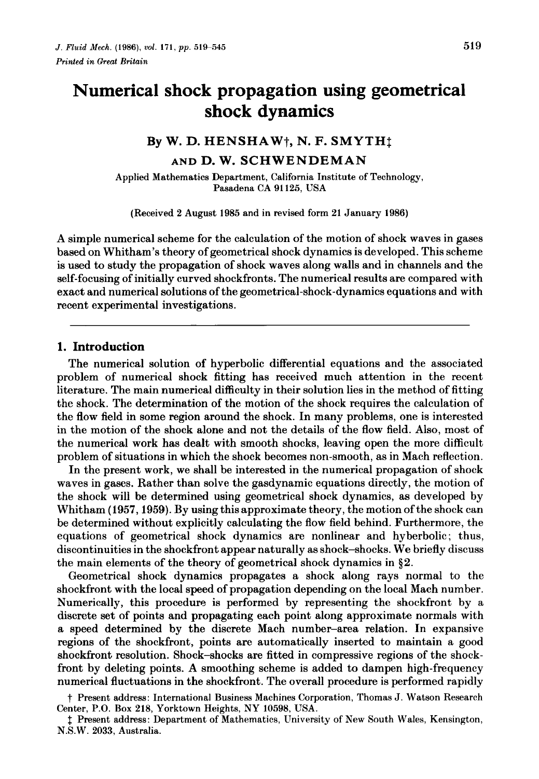# **Numerical shock propagation using geometrical shock dynamics**

#### **By W. D. HENSHA** Wt, **N. F. SMYTHt**

**AND D. W. SCHWENDEMAN** 

Applied Mathematics Department, California Institute of Technology, Pasadena CA 91125, USA

(Received 2 August 1985 and in revised form 21 January 1986)

A simple numerical scheme for the calculation of the motion of shock waves in gases based on Whitham's theory of geometrical shock dynamics is developed. This scheme is used to study the propagation of shock waves along walls and in channels and the self-focusing of initially curved shockfronts. The numerical results are compared with exact and numerical solutions of the geometrical-shock-dynamics equations and with recent experimental investigations.

## **1. Introduction**

The numerical solution of hyperbolic differential equations and the associated problem of numerical shock fitting has received much attention in the recent literature. The main numerical difficulty in their solution lies in the method of fitting the shock. The determination of the motion of the shock requires the calculation of the flow field in some region around the shock. In many problems, one is interested in the motion of the shock alone and not the details of the flow field. Also, most of the numerical work has dealt with smooth shocks, leaving open the more difficult problem of situations in which the shock becomes non-smooth, as in Mach reflection.

In the present work, we shall be interested in the numerical propagation of shock waves in gases. Rather than solve the gasdynamic equations directly, the motion of the shock will be determined using geometrical shock dynamics, as developed by Whitham (1957, 1959). By using this approximate theory, the motion of the shock can be determined without explicitly calculating the flow field behind. Furthermore, the equations of geometrical shock dynamics are nonlinear and hyberbolic; thus, discontinuities in the shockfront appear naturally as shock-shocks. We briefly discuss the main elements of the theory of geometrical shock dynamics in §2.

Geometrical shock dynamics propagates a shock along rays normal to the shockfront with the local speed of propagation depending on the local Mach number. Numerically, this procedure is performed by representing the shockfront by a discrete set of points and propagating each point along approximate normals with a speed determined by the discrete Mach number-area relation. In expansive regions of the shockfront, points are automatically inserted to maintain a good shockfront resolution. Shock-shocks are fitted in compressive regions of the shockfront by deleting points. A smoothing scheme is added to dampen high-frequency numerical fluctuations in the shockfront. The overall procedure is performed rapidly

t Present address: International Business Machines Corporation, Thomas J. Watson Research Center, P.O. Box 218, Yorktown Heights, NY 10598, USA.

t Present address: Department of Mathematics, University of New South Wales, Kensington, N.S.W. 2033, Australia.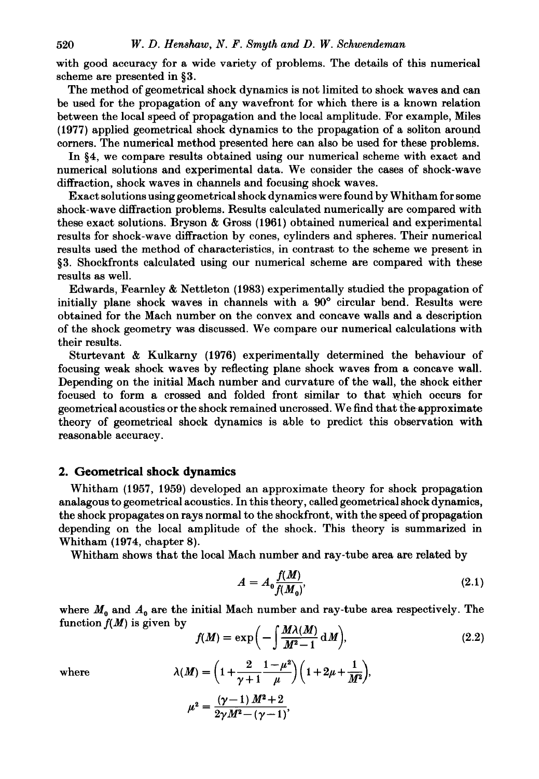with good accuracy for a wide variety of problems. The details of this numerical scheme are presented in §3.

The method of geometrical shock dynamics is not limited to shock waves and can be used for the propagation of any wavefront for which there is a known relation between the local speed of propagation and the local amplitude. For example, Miles (1977) applied geometrical shock dynamics to the propagation of a soliton around corners. The numerical method presented here can also be used for these problems.

In §4, we compare results obtained using our numerical scheme with exact and numerical solutions and experimental data. We consider the cases of shock-wave diffraction, shock waves in channels and focusing shock waves.

Exact solutions using geometrical shock dynamics were found by Whitham for some shock-wave diffraction problems. Results calculated numerically are compared with these exact solutions. Bryson & Gross (1961) obtained numerical and experimental results for shock-wave diffraction by cones, cylinders and spheres. Their numerical results used the method of characteristics, in contrast to the scheme we present in §3. Shockfronts calculated using our numerical scheme are compared with these results as well.

Edwards, Fearnley & Nettleton (1983) experimentally studied the propagation of initially plane shock waves in channels with a 90° circular bend. Results were obtained for the Mach number on the convex and concave walls and a description of the shock geometry was discussed. We compare our numerical calculations with their results.

Sturtevant & Kulkarny (1976) experimentally determined the behaviour of focusing weak shock waves by reflecting plane shock waves from a concave wall. Depending on the initial Mach number and curvature of the wall, the shock either focused to form a crossed and folded front similar to that which occurs for geometrical acoustics or the shock remained uncrossed. We find that the-approximate theory of geometrical shock dynamics is able to predict this observation with reasonable accuracy.

## **2. Geometrical shock dynamics**

Whitham (1957, 1959) developed an approximate theory for shock propagation analagous to geometrical acoustics. In this theory, called geometrical shock dynamics, the shock propagates on rays normal to the shockfront, with the speed of propagation depending on the local amplitude of the shock. This theory is summarized in Whitham (1974, chapter 8).

Whitham shows that the local Mach number and ray-tube area are related by

$$
A = A_0 \frac{f(M)}{f(M_0)},
$$
\n(2.1)

where  $M_0$  and  $A_0$  are the initial Mach number and ray-tube area respectively. The function  $f(M)$  is given by  $(M)$   $(M)(M)$   $(M)$ 

$$
f(M) = \exp\left(-\int \frac{M\lambda(M)}{M^2 - 1} \, \mathrm{d}M\right),\tag{2.2}
$$

where 
$$
\lambda(M) = \left(1 + \frac{2}{\gamma + 1} \frac{1 - \mu^2}{\mu}\right) \left(1 + 2\mu + \frac{1}{M^2}\right),
$$

$$
\mu^2 = \frac{(\gamma - 1) M^2 + 2}{2\gamma M^2 - (\gamma - 1)},
$$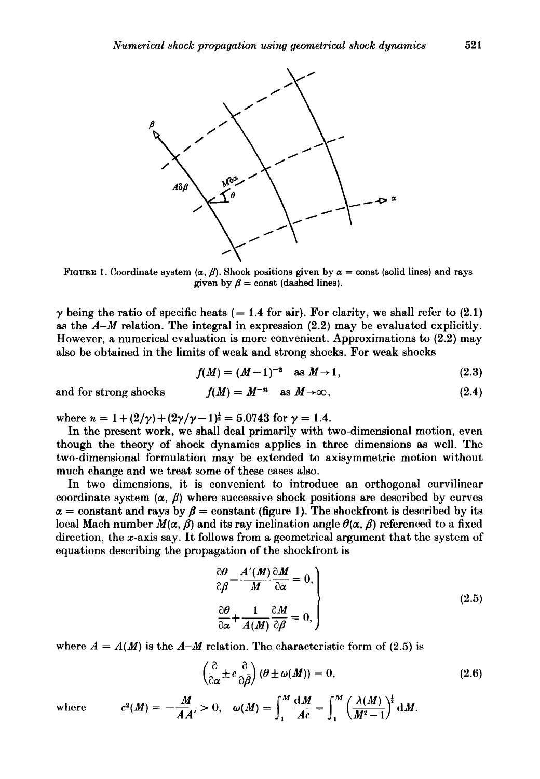

FIGURE 1. Coordinate system  $(\alpha, \beta)$ . Shock positions given by  $\alpha$  = const (solid lines) and rays given by  $\beta$  = const (dashed lines).

 $\gamma$  being the ratio of specific heats (= 1.4 for air). For clarity, we shall refer to (2.1) as the  $A-M$  relation. The integral in expression (2.2) may be evaluated explicitly. However, a numerical evaluation is more convenient. Approximations to (2.2) may also be obtained in the limits of weak and strong shocks. For weak shocks

$$
f(M) = (M-1)^{-2} \quad \text{as } M \to 1,
$$
 (2.3)

and for strong shocks  $f(M) = M^{-n}$  as  $M \rightarrow \infty$ ,

where  $n = 1 + (2/\gamma) + (2\gamma/\gamma - 1)^{\frac{1}{2}} = 5.0743$  for  $\gamma = 1.4$ .

In the present work, we shall deal primarily with two-dimensional motion, even though the theory of shock dynamics applies in three dimensions as well. The two-dimensional formulation may be extended to axisymmetric motion without much change and we treat some of these cases also.

In two dimensions, it is convenient to introduce an orthogonal curvilinear coordinate system  $(\alpha, \beta)$  where successive shock positions are described by curves  $\alpha$  = constant and rays by  $\beta$  = constant (figure 1). The shockfront is described by its local Mach number  $M(\alpha, \beta)$  and its ray inclination angle  $\theta(\alpha, \beta)$  referenced to a fixed direction, the x-axis say. It follows from a geometrical argument that the system of equations describing the propagation of the shockfront is

$$
\frac{\partial \theta}{\partial \beta} - \frac{A'(M) \partial M}{M \partial \alpha} = 0,
$$
\n
$$
\frac{\partial \theta}{\partial \alpha} + \frac{1}{A(M) \partial \beta} = 0,
$$
\n(2.5)

where  $A = A(M)$  is the  $A-M$  relation. The characteristic form of (2.5) is

$$
\left(\frac{\partial}{\partial \alpha} \pm c \frac{\partial}{\partial \beta}\right) (\theta \pm \omega(M)) = 0, \tag{2.6}
$$

where  $c^2(M) = -\frac{M}{AA'} > 0$ ,  $\omega(M) = \int_{1}^{M} \frac{\mathrm{d}M}{Ac} = \int_{1}^{M} \left(\frac{\lambda(M)}{M^2-1}\right)^{\frac{1}{2}} \mathrm{d}M$ . (2.4)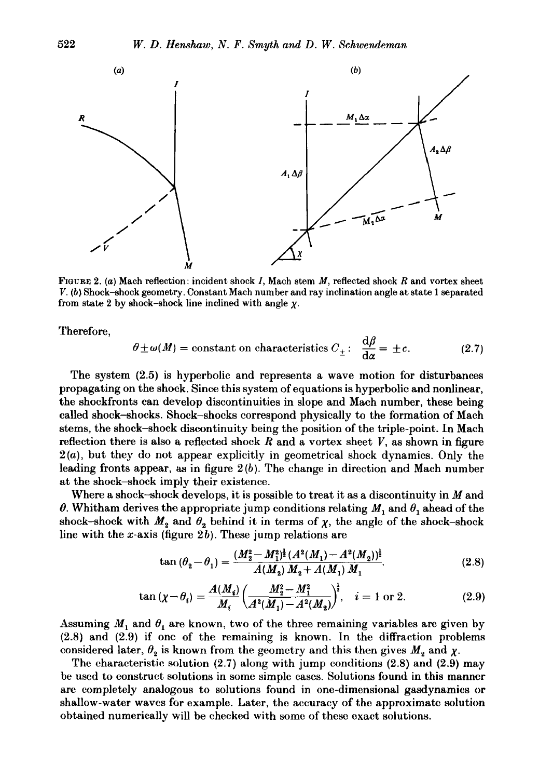

FIGURE 2. (a) Mach reflection: incident shock *I,* Mach stem *M,* reflected shock Rand vortex sheet *V.* (b) Shock-shock geometry. Constant Mach number and ray inclination angle at state 1 separated from state 2 by shock-shock line inclined with angle  $\chi$ .

Therefore,

$$
\theta \pm \omega(M) = \text{constant on characteristics } C_{\pm} : \frac{\mathrm{d}\beta}{\mathrm{d}\alpha} = \pm c. \tag{2.7}
$$

The system (2.5) is hyperbolic and represents a wave motion for disturbances propagating on the shock. Since this system of equations is hyperbolic and nonlinear, the shockfronts can develop discontinuities in slope and Mach number, these being called shock-shocks. Shock-shocks correspond physically to the formation of Mach stems, the shock-shock discontinuity being the position of the triple-point. In Mach reflection there is also a reflected shock  $R$  and a vortex sheet  $V$ , as shown in figure 2(a), but they do not appear explicitly in geometrical shock dynamics. Only the leading fronts appear, as in figure 2 (b). The change in direction and Mach number at the shock-shock imply their existence.

Where a shock-shock develops, it is possible to treat it as a discontinuity in  $M$  and  $\theta$ . Whitham derives the appropriate jump conditions relating  $M_1$  and  $\theta_1$  ahead of the shock-shock with  $M_2$  and  $\theta_2$  behind it in terms of  $\chi$ , the angle of the shock-shock line with the x-axis (figure  $2b$ ). These jump relations are

$$
\tan\left(\theta_2 - \theta_1\right) = \frac{(M_2^2 - M_1^2)^{\frac{1}{2}} (A^2(M_1) - A^2(M_2))^{\frac{1}{2}}}{A(M_2) M_2 + A(M_1) M_1}.
$$
\n(2.8)

$$
\tan\left(\chi - \theta_i\right) = \frac{A(M_i)}{M_i} \left(\frac{M_2^2 - M_1^2}{A^2(M_1) - A^2(M_2)}\right)^{\frac{1}{2}}, \quad i = 1 \text{ or } 2. \tag{2.9}
$$

Assuming  $M_1$  and  $\theta_1$  are known, two of the three remaining variables are given by (2.8) and (2.9) if one of the remaining is known. In the diffraction problems considered later,  $\theta_2$  is known from the geometry and this then gives  $M_2$  and  $\chi$ .

The characteristic solution (2.7) along with jump conditions (2.8) and (2.9) may be used to construct solutions in some simple cases. Solutions found in this manner are completely analogous to solutions found in one-dimensional gasdynamics or shallow-water waves for example. Later, the accuracy of the approximate solution obtained numerically will be cheeked with some of these exact solutions.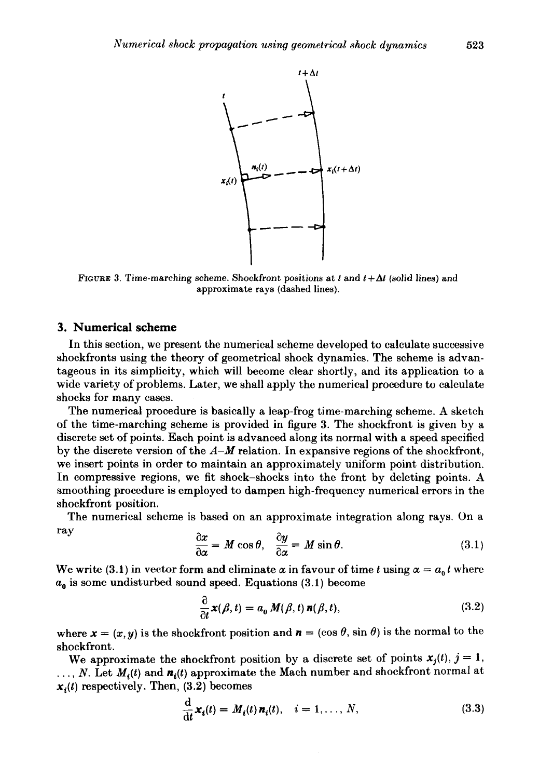

FIGURE 3. Time-marching scheme. Shockfront positions at  $t$  and  $t+\Delta t$  (solid lines) and approximate rays (dashed lines).

## **3. Numerical scheme**

In this section, we present the numerical scheme developed to calculate successive shockfronts using the theory of geometrical shock dynamics. The scheme is advantageous in its simplicity, which will become clear shortly, and its application to a wide variety of problems. Later, we shall apply the numerical procedure to calculate shocks for many cases.

The numerical procedure is basically a leap-frog time-marching scheme. A sketch of the time-marching scheme is provided in figure 3. The shockfront is given by a discrete set of points. Each point is advanced along its normal with a speed specified by the discrete version of the  $A-M$  relation. In expansive regions of the shockfront, we insert points in order to maintain an approximately uniform point distribution. In compressive regions, we fit shock-shocks into the front by deleting points. A smoothing procedure is employed to dampen high-frequency numerical errors in the shockfront position.

The numerical scheme is based on an approximate integration along rays. On a ray  $\partial x$ 

$$
\frac{\partial x}{\partial \alpha} = M \cos \theta, \quad \frac{\partial y}{\partial \alpha} = M \sin \theta. \tag{3.1}
$$

We write (3.1) in vector form and eliminate  $\alpha$  in favour of time t using  $\alpha = a_0 t$  where  $a_0$  is some undisturbed sound speed. Equations  $(3.1)$  become

$$
\frac{\partial}{\partial t}x(\beta, t) = a_0 M(\beta, t) n(\beta, t), \qquad (3.2)
$$

where  $\mathbf{x} = (x, y)$  is the shockfront position and  $\mathbf{n} = (\cos \theta, \sin \theta)$  is the normal to the shockfront.

We approximate the shockfront position by a discrete set of points  $x_i(t)$ ,  $j = 1$ ,  $\ldots$ , *N*. Let  $M_i(t)$  and  $n_i(t)$  approximate the Mach number and shockfront normal at  $x_i(t)$  respectively. Then, (3.2) becomes

$$
\frac{\mathrm{d}}{\mathrm{d}t}\boldsymbol{x}_i(t) = M_i(t)\,\boldsymbol{n}_i(t), \quad i = 1,\ldots,N,\tag{3.3}
$$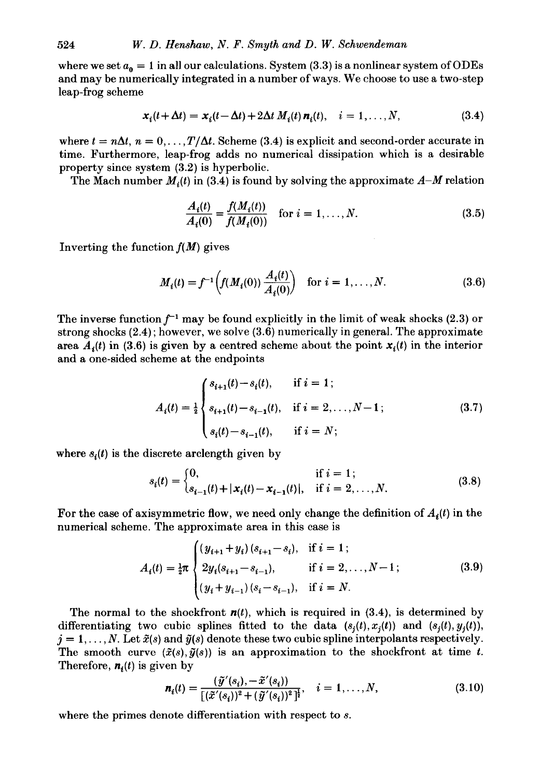where we set  $a_0 = 1$  in all our calculations. System (3.3) is a nonlinear system of ODEs and may be numerically integrated in a number of ways. We choose to use a two-step leap-frog scheme

$$
\mathbf{x}_i(t + \Delta t) = \mathbf{x}_i(t - \Delta t) + 2\Delta t \, M_i(t) \, \mathbf{n}_i(t), \quad i = 1, \dots, N,
$$
\n(3.4)

where  $t = n\Delta t$ ,  $n = 0, \ldots, T/\Delta t$ . Scheme (3.4) is explicit and second-order accurate in time. Furthermore, leap-frog adds no numerical dissipation which is a desirable property since system (3.2) is hyperbolic.

The Mach number  $M_i(t)$  in (3.4) is found by solving the approximate  $A-M$  relation

$$
\frac{A_i(t)}{A_i(0)} = \frac{f(M_i(t))}{f(M_i(0))} \quad \text{for } i = 1, ..., N. \tag{3.5}
$$

Inverting the function  $f(M)$  gives

$$
M_i(t) = f^{-1}\left(f(M_i(0))\frac{A_i(t)}{A_i(0)}\right) \text{ for } i = 1,\dots,N. \tag{3.6}
$$

The inverse function  $f^{-1}$  may be found explicitly in the limit of weak shocks (2.3) or strong shocks  $(2.4)$ ; however, we solve  $(3.6)$  numerically in general. The approximate area  $A_i(t)$  in (3.6) is given by a centred scheme about the point  $x_i(t)$  in the interior and a one-sided scheme at the endpoints

$$
A_i(t) = \frac{1}{2} \begin{cases} s_{i+1}(t) - s_i(t), & \text{if } i = 1; \\ s_{i+1}(t) - s_{i-1}(t), & \text{if } i = 2, \dots, N-1; \\ s_i(t) - s_{i-1}(t), & \text{if } i = N; \end{cases} \tag{3.7}
$$

where  $s_i(t)$  is the discrete arclength given by

$$
s_i(t) = \begin{cases} 0, & \text{if } i = 1; \\ s_{i-1}(t) + |x_i(t) - x_{i-1}(t)|, & \text{if } i = 2, ..., N. \end{cases}
$$
(3.8)

For the case of axisymmetric flow, we need only change the definition of  $A_i(t)$  in the numerical scheme. The approximate area in this case is

$$
A_i(t) = \frac{1}{2}\pi \begin{cases} (y_{i+1} + y_i)(s_{i+1} - s_i), & \text{if } i = 1; \\ 2y_i(s_{i+1} - s_{i-1}), & \text{if } i = 2, ..., N-1; \\ (y_i + y_{i-1})(s_i - s_{i-1}), & \text{if } i = N. \end{cases}
$$
(3.9)

The normal to the shockfront  $n(t)$ , which is required in (3.4), is determined by differentiating two cubic splines fitted to the data  $(s_i(t), x_i(t))$  and  $(s_i(t), y_i(t))$ ,  $j = 1, \ldots, N$ . Let  $\tilde{x}(s)$  and  $\tilde{y}(s)$  denote these two cubic spline interpolants respectively. The smooth curve  $(\tilde{x}(s),\tilde{y}(s))$  is an approximation to the shockfront at time *t*. Therefore,  $\mathbf{n}_i(t)$  is given by

$$
\boldsymbol{n}_i(t) = \frac{(\tilde{y}'(s_i), -\tilde{x}'(s_i))}{[(\tilde{x}'(s_i))^2 + (\tilde{y}'(s_i))^2]^{\frac{1}{2}}}, \quad i = 1, \ldots, N,
$$
\n(3.10)

where the primes denote differentiation with respect to *s.*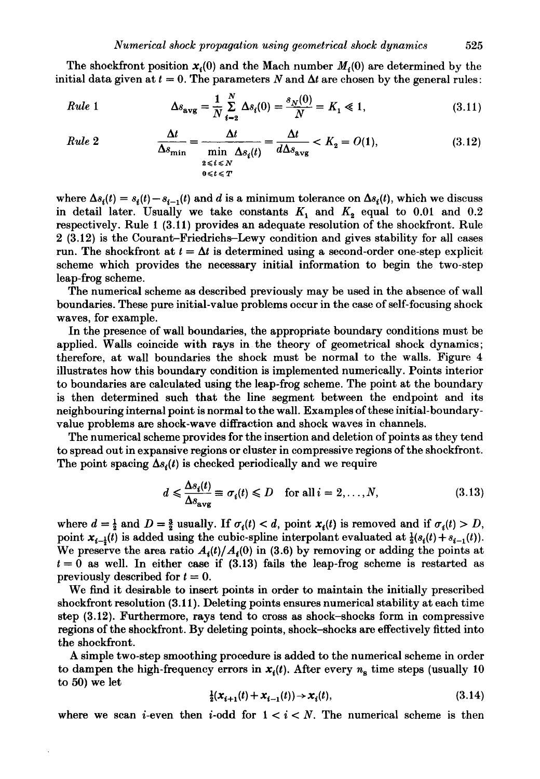The shockfront position  $x_i(0)$  and the Mach number  $M_i(0)$  are determined by the initial data given at  $t = 0$ . The parameters N and  $\Delta t$  are chosen by the general rules:

*Rule* 1 
$$
\Delta s_{avg} = \frac{1}{N} \sum_{i=2}^{N} \Delta s_i(0) = \frac{s_N(0)}{N} = K_1 \ll 1,
$$
 (3.11)

Rule 2 
$$
\frac{\Delta t}{\Delta s_{\min}} = \frac{\Delta t}{\min_{\substack{2 \leq t \leq N \\ 0 \leq t \leq T}} \Delta s_i(t)} = \frac{\Delta t}{d\Delta s_{\text{avg}}} < K_2 = O(1), \tag{3.12}
$$

where  $\Delta s_i(t) = s_i(t) - s_{i-1}(t)$  and *d* is a minimum tolerance on  $\Delta s_i(t)$ , which we discuss in detail later. Usually we take constants  $K_1$  and  $K_2$  equal to 0.01 and 0.2 respectively. Rule 1 (3.11) provides an adequate resolution of the shockfront. Rule 2 (3.12) is the Courant-Friedrichs-Lewy condition and gives stability for all cases run. The shockfront at  $t = \Delta t$  is determined using a second-order one-step explicit scheme which provides the necessary initial information to begin the two-step leap-frog scheme.

The numerical scheme as described previously may be used in the absence of wall boundaries. These pure initial-value problems occur in the case of self-focusing shock waves, for example.

In the presence of wall boundaries, the appropriate boundary conditions must be applied. Walls coincide with rays in the theory of geometrical shock dynamics; therefore, at wall boundaries the shock must be normal to the walls. Figure 4 illustrates how this boundary condition is implemented numerically. Points interior to boundaries are calculated using the leap-frog scheme. The point at the boundary is then determined such that the line segment between the endpoint and its neighbouring internal point is normal to the wall. Examples of these initial-boundaryvalue problems are shock-wave diffraction and shock waves in channels.

The numerical scheme provides for the insertion and deletion of points as they tend to spread out in expansive regions or cluster in compressive regions of the shockfront. The point spacing  $\Delta s_i(t)$  is checked periodically and we require

$$
d \leq \frac{\Delta s_i(t)}{\Delta s_{\text{avg}}} \equiv \sigma_i(t) \leq D \quad \text{for all } i = 2, ..., N,
$$
 (3.13)

where  $d = \frac{1}{2}$  and  $D = \frac{3}{2}$  usually. If  $\sigma_i(t) < d$ , point  $x_i(t)$  is removed and if  $\sigma_i(t) > D$ , point  $x_{i-1}(t)$  is added using the cubic-spline interpolant evaluated at  $\frac{1}{2}(s_i(t)+s_{i-1}(t))$ . We preserve the area ratio  $A_i(t)/A_i(0)$  in (3.6) by removing or adding the points at  $t = 0$  as well. In either case if  $(3.13)$  fails the leap-frog scheme is restarted as previously described for  $t = 0$ .

We find it desirable to insert points in order to maintain the initially prescribed shockfront resolution (3.11 ). Deleting points ensures numerical stability at each time step (3.12). Furthermore, rays tend to cross as shock-shocks form in compressive regions of the shockfront. By deleting points, shock-shocks are effectively fitted into the shockfront.

A simple two-step smoothing procedure is added to the numerical scheme in order to dampen the high-frequency errors in  $x_i(t)$ . After every  $n_s$  time steps (usually 10) to 50) we let

$$
\frac{1}{2}(\mathbf{x}_{i+1}(t) + \mathbf{x}_{i-1}(t)) \to \mathbf{x}_i(t),
$$
\n(3.14)

where we scan *i*-even then *i*-odd for  $1 < i < N$ . The numerical scheme is then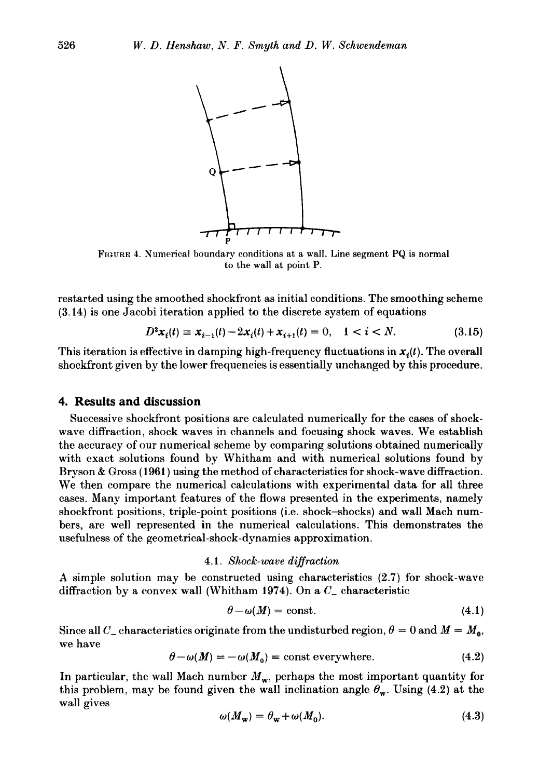

FIGURE 4. Numerical boundary conditions at a wall. Line segment PQ is normal to the wall at point P.

restarted using the smoothed shockfront as initial conditions. The smoothing scheme (3.14) is one Jacobi iteration applied to the discrete system of equations

$$
D^2 \mathbf{x}_i(t) \equiv \mathbf{x}_{i-1}(t) - 2\mathbf{x}_i(t) + \mathbf{x}_{i+1}(t) = 0, \quad 1 < i < N. \tag{3.15}
$$

This iteration is effective in damping high-frequency fluctuations in  $x_i(t)$ . The overall shockfront given by the lower frequencies is essentially unchanged by this procedure.

## **4. Results and discussion**

Successive shockfront positions are calculated numerically for the cases of shockwave diffraction, shock waves in channels and focusing shock waves. We establish the accuracy of our numerical scheme by comparing solutions obtained numerically with exact solutions found by Whitham and with numerical solutions found by Bryson & Gross ( **1961)** using the method of characteristics for shock-wave diffraction. We then compare the numerical calculations with experimental data for all three cases. Many important features of the flows presented in the experiments, namely shockfront positions, triple-point positions (i.e. shock-shocks) and wall Mach numbers, are well represented in the numerical calculations. This demonstrates the usefulness of the geometrical-shock-dynamics approximation.

#### **4.1.** *Shock-wave diffraction*

A simple solution may be constructed using characteristics (2.7) for shock-wave diffraction by a convex wall (Whitham 1974). On a *C\_* characteristic

$$
\theta - \omega(M) = \text{const.} \tag{4.1}
$$

Since all  $C_{-}$  characteristics originate from the undisturbed region,  $\theta = 0$  and  $M = M_{0}$ , we have

$$
\theta - \omega(M) = -\omega(M_0) = \text{const everywhere.} \tag{4.2}
$$

In particular, the wall Mach number  $M_{\rm w}$ , perhaps the most important quantity for this problem, may be found given the wall inclination angle  $\theta_{w}$ . Using (4.2) at the wall gives

$$
\omega(M_w) = \theta_w + \omega(M_0). \tag{4.3}
$$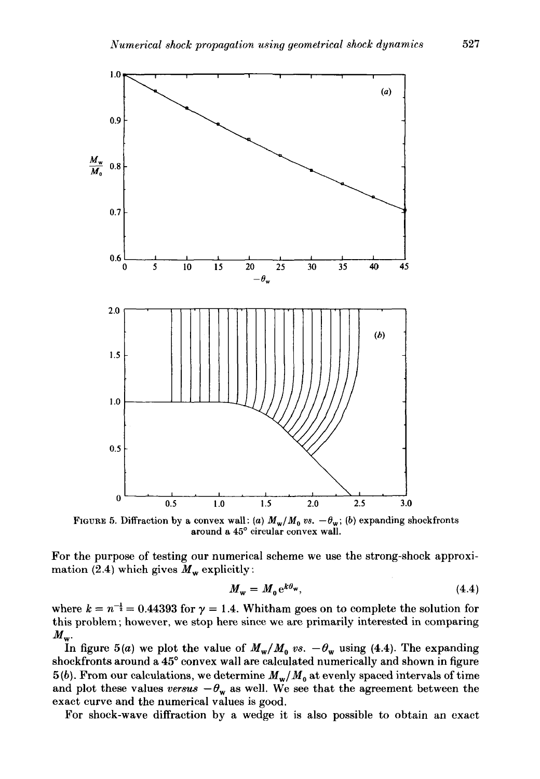

FIGURE 5. Diffraction by a convex wall: (a)  $M_w/M_0$  vs.  $-\theta_w$ ; (b) expanding shockfronts around a 45° circular convex wall.

For the purpose of testing our numerical scheme we use the strong-shock approximation (2.4) which gives  $M_w$  explicitly:

$$
M_{\rm w} = M_0 e^{k\theta_{\rm w}},\tag{4.4}
$$

where  $k = n^{-\frac{1}{2}} = 0.44393$  for  $\gamma = 1.4$ . Whitham goes on to complete the solution for this problem; however, we stop here since we are primarily interested in comparing  $M_{\rm w}$ .

In figure 5(a) we plot the value of  $M_w/M_0$  *vs.*  $-\theta_w$  using (4.4). The expanding shockfronts around a 45° convex wall are calculated numerically and shown in figure  $5(b)$ . From our calculations, we determine  $M_w/M_0$  at evenly spaced intervals of time and plot these values *versus*  $-\theta_w$  as well. We see that the agreement between the exact curve and the numerical values is good.

For shock-wave diffraction by a wedge it is also possible to obtain an exact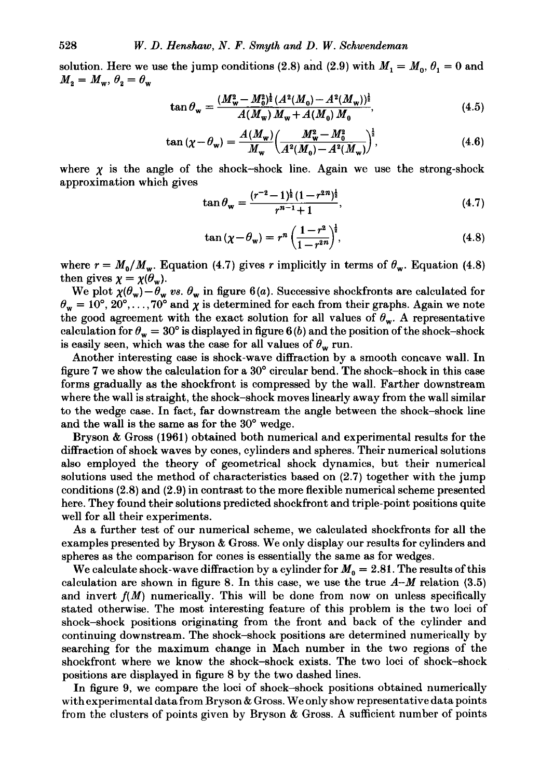solution. Here we use the jump conditions (2.8) and (2.9) with  $M_1 = M_0$ ,  $\theta_1 = 0$  and  $M_2 = M_w, \theta_2 = \theta_w$ 

$$
\tan \theta_{\rm w} = \frac{(M_{\rm w}^2 - M_0^2)^{\frac{1}{2}} (A^2(M_0) - A^2(M_{\rm w}))^{\frac{1}{2}}}{A(M_{\rm w}) M_{\rm w} + A(M_0) M_0},\tag{4.5}
$$

$$
\tan\left(\chi - \theta_{\rm w}\right) = \frac{A(M_{\rm w})}{M_{\rm w}} \left(\frac{M_{\rm w}^2 - M_0^2}{A^2(M_0) - A^2(M_{\rm w})}\right)^{\frac{1}{2}},\tag{4.6}
$$

where  $\chi$  is the angle of the shock-shock line. Again we use the strong-shock approximation which gives

$$
\tan \theta_{\mathbf{w}} = \frac{(r^{-2} - 1)^{\frac{1}{2}} (1 - r^{2n})^{\frac{1}{2}}}{r^{n-1} + 1},\tag{4.7}
$$

$$
\tan\left(\chi - \theta_{\mathbf{w}}\right) = r^n \left(\frac{1 - r^2}{1 - r^{2n}}\right)^{\frac{1}{2}},\tag{4.8}
$$

where  $r = M_0/M_w$ . Equation (4.7) gives r implicitly in terms of  $\theta_w$ . Equation (4.8) then gives  $\chi = \chi(\theta_w)$ .

We plot  $\chi(\theta_w)-\theta_w$  vs.  $\theta_w$  in figure 6(a). Successive shockfronts are calculated for  $\theta_w = 10^{\circ}, 20^{\circ}, \ldots, 70^{\circ}$  and  $\chi$  is determined for each from their graphs. Again we note the good agreement with the exact solution for all values of  $\theta_w$ . A representative calculation for  $\theta_w = 30^\circ$  is displayed in figure 6(b) and the position of the shock-shock is easily seen, which was the case for all values of  $\theta_w$  run.

Another interesting case is shock-wave diffraction by a smooth concave wall. In figure 7 we show the calculation for a 30° circular bend. The shock-shock in this case forms gradually as the shockfront is compressed by the wall. Farther downstream where the wall is straight, the shock-shock moves linearly away from the wall similar to the wedge case. In fact, far downstream the angle between the shock-shock line and the wall is the same as for the 30° wedge.

Bryson & Gross (1961) obtained both numerical and experimental results for the diffraction of shock waves by cones, cylinders and spheres. Their numerical solutions also employed the theory of geometrical shock dynamics, but their numerical solutions used the method of characteristics based on (2.7) together with the jump conditions (2.8) and (2.9) in contrast to the more flexible numerical scheme presented here. They found their solutions predicted shockfront and triple-point positions quite well for all their experiments.

As a further test of our numerical scheme, we calculated shockfronts for all the examples presented by Bryson & Gross. We only display our results for cylinders and spheres as the comparison for cones is essentially the same as for wedges.

We calculate shock-wave diffraction by a cylinder for  $M_0=2.81$ . The results of this calculation are shown in figure 8. In this case, we use the true  $A-M$  relation (3.5) and invert  $f(M)$  numerically. This will be done from now on unless specifically stated otherwise. The most interesting feature of this problem is the two loci of shock-shock positions originating from the front and back of the cylinder and continuing downstream. The shock-shock positions are determined numerically by searching for the maximum change in Mach number in the two regions of the shockfront where we know the shock-shock exists. The two loci of shock-shock positions are displayed in figure 8 by the two dashed lines.

In figure 9, we compare the loci of shock-shock positions obtained numerically with experimental data from Bryson & Gross. We only show representative data points from the clusters of points given by Bryson & Gross. A sufficient number of points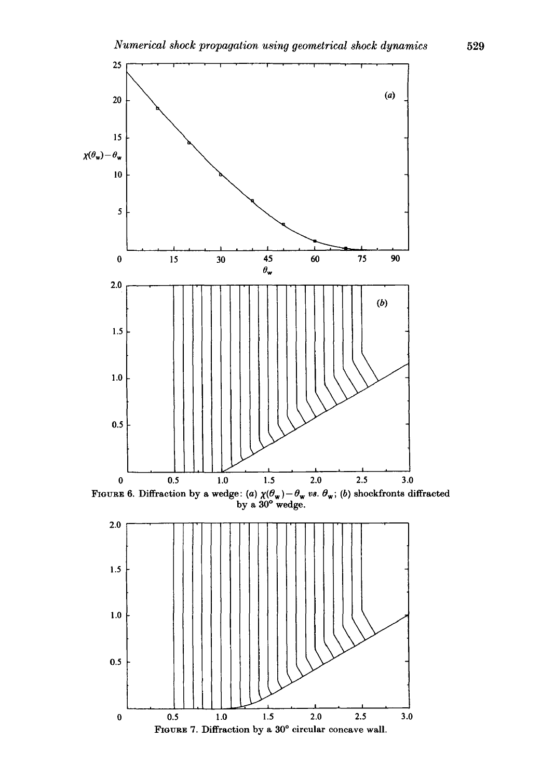

FIGURE 6. Diffraction by a wedge: (a)  $\chi(\theta_w)-\theta_w$  vs.  $\theta_w$ ; (b) shockfronts diffracted by a 30° wedge.

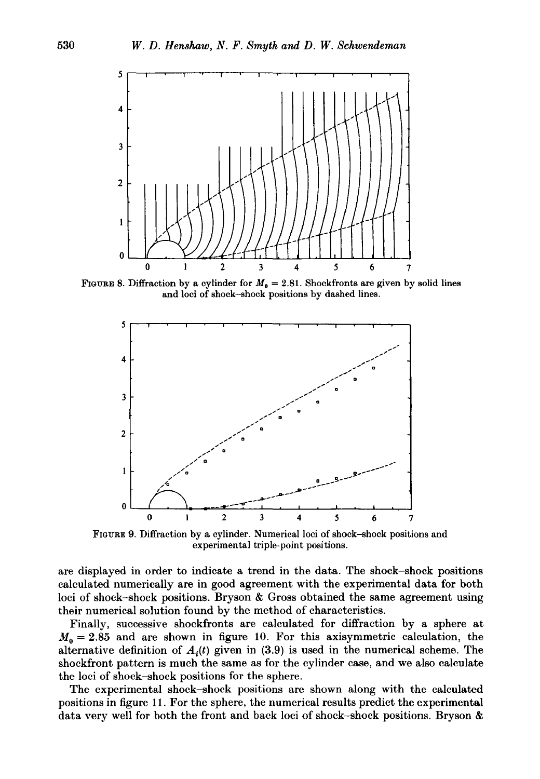

FIGURE 8. Diffraction by a cylinder for  $M_0 = 2.81$ . Shockfronts are given by solid lines and loci of shock-shock positions by dashed lines.



FIGURE 9. Diffraction by a cylinder. Numerical loci of shock-shock positions and experimental triple-point positions.

are displayed in order to indicate a trend in the data. The shock-shock positions calculated numerically are in good agreement with the experimental data for both loci of shock-shock positions. Bryson & Gross obtained the same agreement using their numerical solution found by the method of characteristics.

Finally, successive shockfronts are calculated for diffraction by a sphere at  $M_0 = 2.85$  and are shown in figure 10. For this axisymmetric calculation, the alternative definition of  $A_i(t)$  given in (3.9) is used in the numerical scheme. The shockfront pattern is much the same as for the cylinder case, and we also calculate the loci of shock-shock positions for the sphere.

The experimental shock-shock positions are shown along with the calculated positions in figure 11. For the sphere, the numerical results predict the experimental data very well for both the front and back loci of shock-shock positions. Bryson &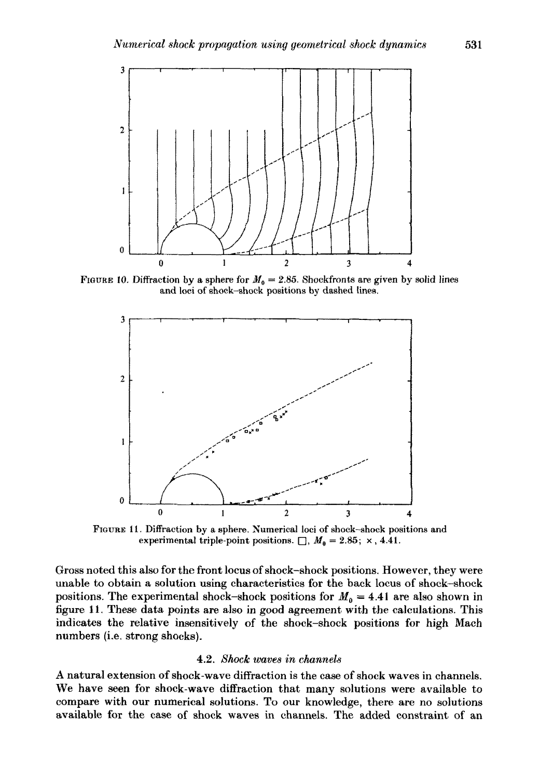

FIGURE 10. Diffraction by a sphere for  $M_0 = 2.85$ . Shockfronts are given by solid lines and loci of shock-shock positions by dashed lines.



FIGURE 11. Diffraction by a sphere. Numerical loci of shock-shock positions and experimental triple-point positions.  $\Box$ ,  $M_0 = 2.85$ ; x, 4.41.

Gross noted this also for the front locus of shock-shock positions. However, they were unable to obtain a solution using characteristics for the back locus of shock-shock positions. The experimental shock-shock positions for  $M_0 = 4.41$  are also shown in figure 11. These data points are also in good agreement with the calculations. This indicates the relative insensitively of the shock-shock positions for high Mach numbers (i.e. strong shocks).

#### 4.2. *Shock waves in channels*

A natural extension of shock-wave diffraction is the case of shock waves in channels. We have seen for shock-wave diffraction that many solutions were available to compare with our numerical solutions. To our knowledge, there are no solutions available for the case of shock waves in channels. The added constraint of an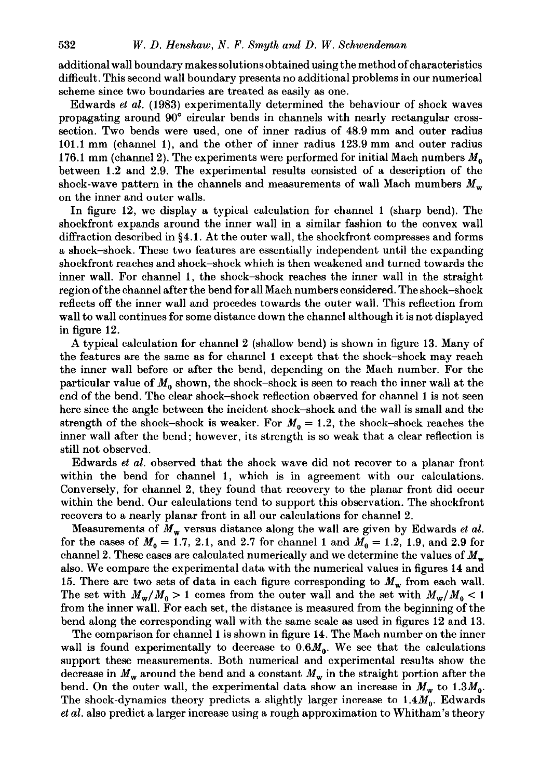additional wall boundary makes solutions obtained using the method of characteristics difficult. This second wall boundary presents no additional problems in our numerical scheme since two boundaries are treated as easily as one.

Edwards *et al.* (1983) experimentally determined the behaviour of shock waves propagating around 90° circular bends in channels with nearly rectangular crosssection. Two bends were used, one of inner radius of 48.9 mm and outer radius 101.1 mm (channel 1), and the other of inner radius 123.9 mm and outer radius 176.1 mm (channel 2). The experiments were performed for initial Mach numbers  $M_0$ between 1.2 and 2.9. The experimental results consisted of a description of the shock-wave pattern in the channels and measurements of wall Mach mumbers  $M_w$ on the inner and outer walls.

In figure 12, we display a typical calculation for channel 1 (sharp bend). The shockfront expands around the inner wall in a similar fashion to the convex wall diffraction described in §4.1. At the outer wall, the shockfront compresses and forms a shock-shock. These two features are essentially independent until the expanding shockfront reaches and shock-shock which is then weakened and turned towards the inner wall. For channel 1, the shock-shock reaches the inner wall in the straight region of the channel after the bend for all Mach numbers considered. The shock-shock reflects off the inner wall and procedes towards the outer wall. This reflection from wall to wall continues for some distance down the channel although it is not displayed in figure 12.

A typical calculation for channel 2 (shallow bend) is shown in figure 13. Many of the features are the same as for channel 1 except that the shock-shock may reach the inner wall before or after the bend, depending on the Mach number. For the particular value of  $M_0$  shown, the shock-shock is seen to reach the inner wall at the end of the bend. The clear shock-shock reflection observed for channel 1 is not seen here since the angle between the incident shock-shock and the wall is small and the strength of the shock-shock is weaker. For  $M_0 = 1.2$ , the shock-shock reaches the inner wall after the bend; however, its strength is so weak that a clear reflection is still not observed.

Edwards *et al.* observed that the shock wave did not recover to a planar front within the bend for channel 1, which is in agreement with our calculations. Conversely, for channel 2, they found that recovery to the planar front did occur within the bend. Our calculations tend to support this observation. The shockfront recovers to a nearly planar front in all our calculations for channel 2.

Measurements of *Mw* versus distance along the wall are given by Edwards *et al.*  for the cases of  $M_0 = 1.7, 2.1,$  and 2.7 for channel 1 and  $M_0 = 1.2, 1.9,$  and 2.9 for channel 2. These cases are calculated numerically and we determine the values of  $M_w$ also. We compare the experimental data with the numerical values in figures 14 and 15. There are two sets of data in each figure corresponding to  $M_w$  from each wall. The set with  $M_w/M_0 > 1$  comes from the outer wall and the set with  $M_w/M_0 < 1$ from the inner wall. For each set, the distance is measured from the beginning of the bend along the corresponding wall with the same scale as used in figures 12 and 13.

The comparison for channel 1 is shown in figure 14. The Mach number on the inner wall is found experimentally to decrease to  $0.6M<sub>0</sub>$ . We see that the calculations support these measurements. Both numerical and experimental results show the decrease in  $M_w$  around the bend and a constant  $M_w$  in the straight portion after the bend. On the outer wall, the experimental data show an increase in  $M_w$  to 1.3 $M_0$ . The shock-dynamics theory predicts a slightly larger increase to  $1.4M<sub>0</sub>$ . Edwards *et al.* also predict a larger increase using a rough approximation to Whitham's theory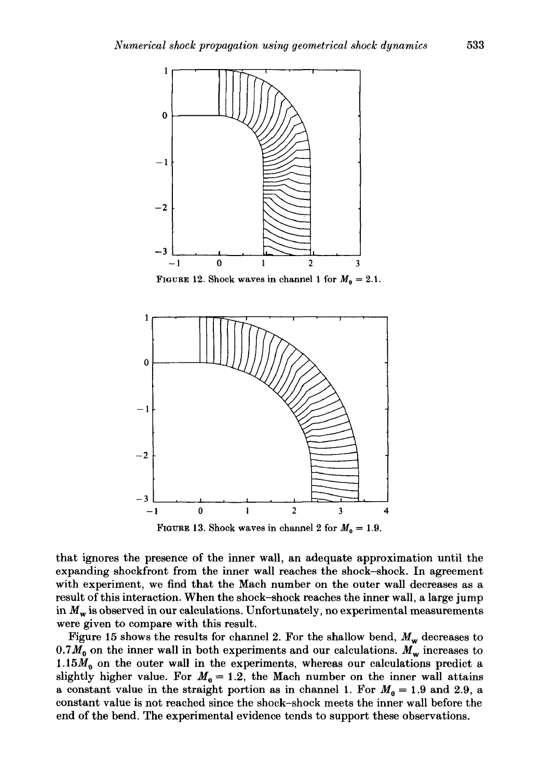

FIGURE 12. Shock waves in channel 1 for  $M_0 = 2.1$ .



FIGURE 13. Shock waves in channel 2 for  $M_0 = 1.9$ .

that ignores the presence of the inner wall, an adequate approximation until the expanding shockfront from the inner wall reaches the shock-shock. In agreement with experiment, we find that the Mach number on the outer wall decreases as a result of this interaction. When the shock-shock reaches the inner wall, a large jump in  $M_{\rm w}$  is observed in our calculations. Unfortunately, no experimental measurements were given to compare with this result.

Figure 15 shows the results for channel 2. For the shallow bend,  $M_w$  decreases to  $0.7 M_0$  on the inner wall in both experiments and our calculations.  $M_w$  increases to 1.15 $M_0$  on the outer wall in the experiments, whereas our calculations predict a slightly higher value. For  $M_0 = 1.2$ , the Mach number on the inner wall attains a constant value in the straight portion as in channel 1. For  $M_0 = 1.9$  and 2.9, a constant value is not reached since the shock-shock meets the inner wall before the end of the bend. The experimental evidence tends to support these observations.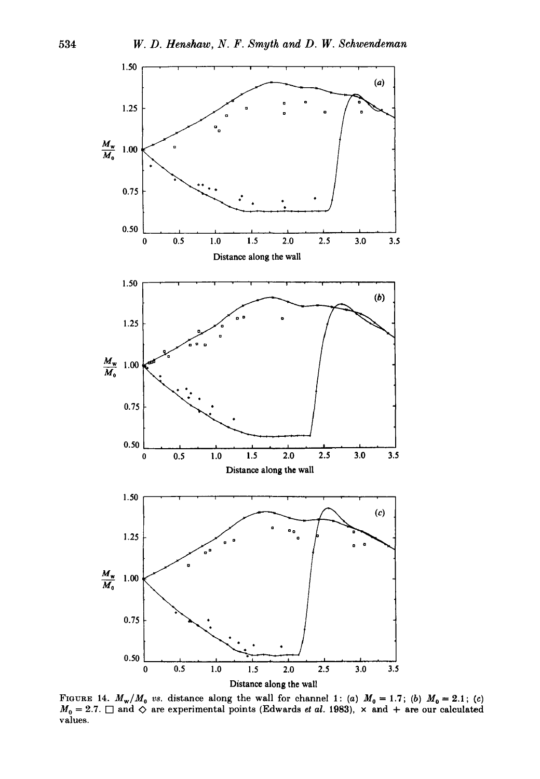

FIGURE 14.  $M_w/M_0$  vs. distance along the wall for channel 1: (a)  $M_0 = 1.7$ ; (b)  $M_0 = 2.1$ ; (c)  $M_0 = 2.7$ .  $\Box$  and  $\Diamond$  are experimental points (Edwards *et al.* 1983),  $\times$  and  $+$  are our calculated values.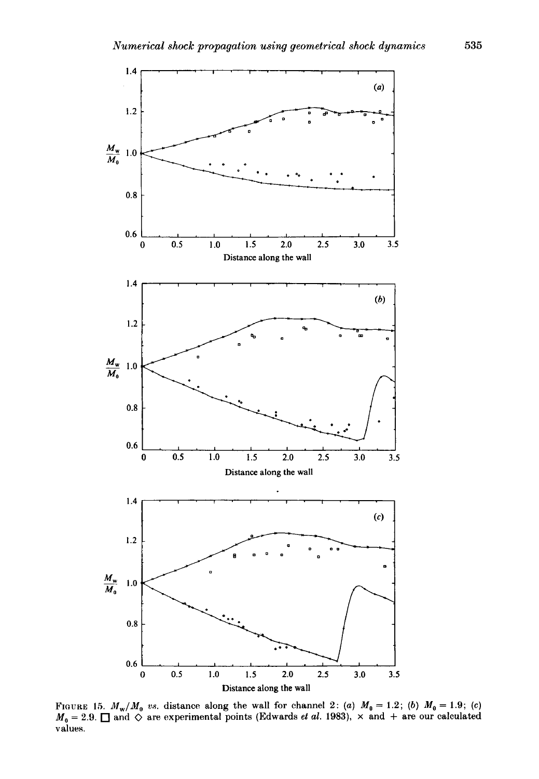

FIGURE 15.  $M_w/M_0$  vs. distance along the wall for channel 2: (a)  $M_0 = 1.2$ ; (b)  $M_0 = 1.9$ ; (c)  $M_0 = 2.9$ .  $\square$  and  $\diamondsuit$  are experimental points (Edwards *et al.* 1983),  $\times$  and  $+$  are our calculated values.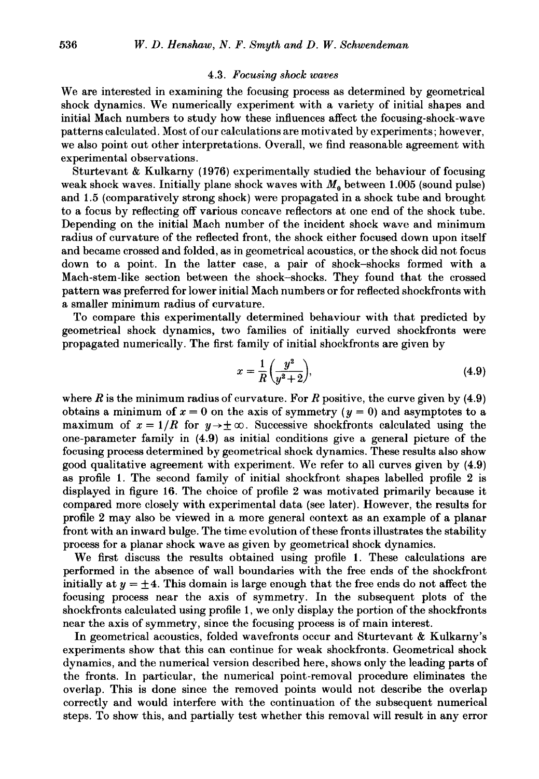#### 4.3. *Focusing shock waves*

We are interested in examining the focusing process as determined by geometrical shock dynamics. We numerically experiment with a variety of initial shapes and initial Mach numbers to study how these influences affect the focusing-shock-wave patterns calculated. Most of our calculations are motivated by experiments; however, we also point out other interpretations. Overall, we find reasonable agreement with experimental observations.

Sturtevant & Kulkarny (1976) experimentally studied the behaviour of focusing weak shock waves. Initially plane shock waves with  $M_0$  between 1.005 (sound pulse) and 1.5 (comparatively strong shock) were propagated in a shock tube and brought to a focus by reflecting off various concave reflectors at one end of the shock tube. Depending on the initial Mach number of the incident shock wave and minimum radius of curvature of the reflected front, the shock either focused down upon itself and became crossed and folded, as in geometrical acoustics, or the shock did not focus down to a point. In the latter case, a pair of shock-shocks formed with a Mach-stem-like section between the shock-shocks. They found that the crossed pattern was preferred for lower initial Mach numbers or for reflected shockfronts with a smaller minimum radius of curvature.

To compare this experimentally determined behaviour with that predicted by geometrical shock dynamics, two families of initially curved shockfronts were propagated numerically. The first family of initial shockfronts are given by

$$
x = \frac{1}{R} \left( \frac{y^2}{y^2 + 2} \right),\tag{4.9}
$$

where  $R$  is the minimum radius of curvature. For  $R$  positive, the curve given by  $(4.9)$ obtains a minimum of  $x = 0$  on the axis of symmetry  $(y = 0)$  and asymptotes to a maximum of  $x = 1/R$  for  $y \rightarrow \pm \infty$ . Successive shockfronts calculated using the one-parameter family in (4.9) as initial conditions give a general picture of the focusing process determined by geometrical shock dynamics. These results also show good qualitative agreement with experiment. We refer to all curves given by (4.9) as profile 1. The second family of initial shockfront shapes labelled profile 2 is displayed in figure 16. The choice of profile 2 was motivated primarily because it compared more closely with experimental data (see later). However, the results for profile 2 may also be viewed in a more general context as an example of a planar front with an inward bulge. The time evolution of these fronts illustrates the stability process for a planar shock wave as given by geometrical shock dynamics.

We first discuss the results obtained using profile 1. These calculations are performed in the absence of wall boundaries with the free ends of the shockfront initially at  $y = \pm 4$ . This domain is large enough that the free ends do not affect the focusing process near the axis of symmetry. In the subsequent plots of the shockfronts calculated using profile 1, we only display the portion of the shockfronts near the axis of symmetry, since the focusing process is of main interest.

In geometrical acoustics, folded wavefronts occur and Sturtevant & Kulkarny's experiments show that this can continue for weak shockfronts. Geometrical shock dynamics, and the numerical version described here, shows only the leading parts of the fronts. In particular, the numerical point-removal procedure eliminates the overlap. This is done since the removed points would not describe the overlap correctly and would interfere with the continuation of the subsequent numerical steps. To show this, and partially test whether this removal will result in any error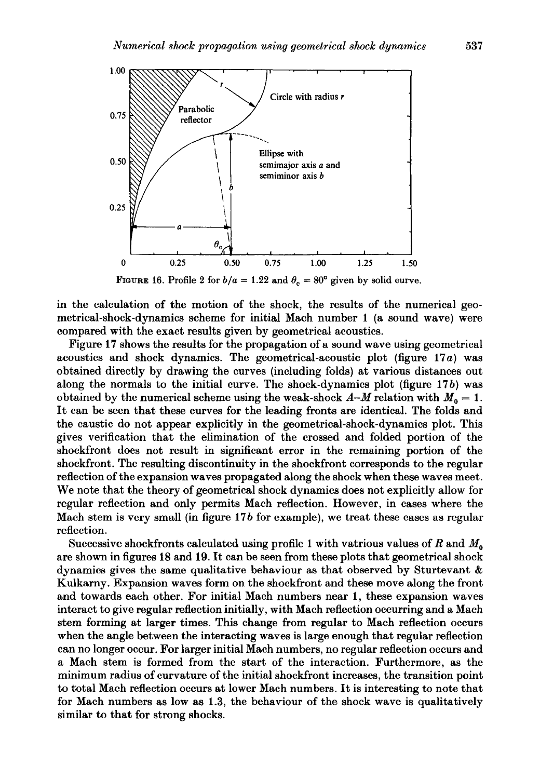

FIGURE 16. Profile 2 for  $b/a = 1.22$  and  $\theta_c = 80^\circ$  given by solid curve.

in the calculation of the motion of the shock, the results of the numerical geometrical-shock-dynamics scheme for initial Mach number **1** (a sound wave) were compared with the exact results given by geometrical acoustics.

Figure **17** shows the results for the propagation of a sound wave using geometrical acoustics and shock dynamics. The geometrical-acoustic plot (figure **17** a) was obtained directly by drawing the curves (including folds) at various distances out along the normals to the initial curve. The shock-dynamics plot (figure **17** b) was obtained by the numerical scheme using the weak-shock  $A-M$  relation with  $M_0 = 1$ . It can be seen that these curves for the leading fronts are identical. The folds and the caustic do not appear explicitly in the geometrical-shock-dynamics plot. This gives verification that the elimination of the crossed and folded portion of the shockfront does not result in significant error in the remaining portion of the shockfront. The resulting discontinuity in the shockfront corresponds to the regular reflection of the expansion waves propagated along the shock when these waves meet. We note that the theory of geometrical shock dynamics does not explicitly allow for regular reflection and only permits Mach reflection. However, in cases where the Mach stem is very small (in figure 17 *b* for example), we treat these cases as regular reflection.

Successive shockfronts calculated using profile 1 with vatrious values of R and M*<sup>0</sup>* are shown in figures 18 and **19.** It can be seen from these plots that geometrical shock dynamics gives the same qualitative behaviour as that observed by Sturtevant & Kulkarny. Expansion waves form on the shockfront and these move along the front and towards each other. For initial Mach numbers near **1,** these expansion waves interact to give regular reflection initially, with Mach reflection occurring and a Mach stem forming at larger times. This change from regular to Mach reflection occurs when the angle between the interacting waves is large enough that regular reflection can no longer occur. For larger initial Mach numbers, no regular reflection occurs and a Mach stem is formed from the start of the interaction. Furthermore, as the minimum radius of curvature of the initial shockfront increases, the transition point to total Mach reflection occurs at lower Mach numbers. It is interesting to note that for Mach numbers as low as 1.3, the behaviour of the shock wave is qualitatively similar to that for strong shocks.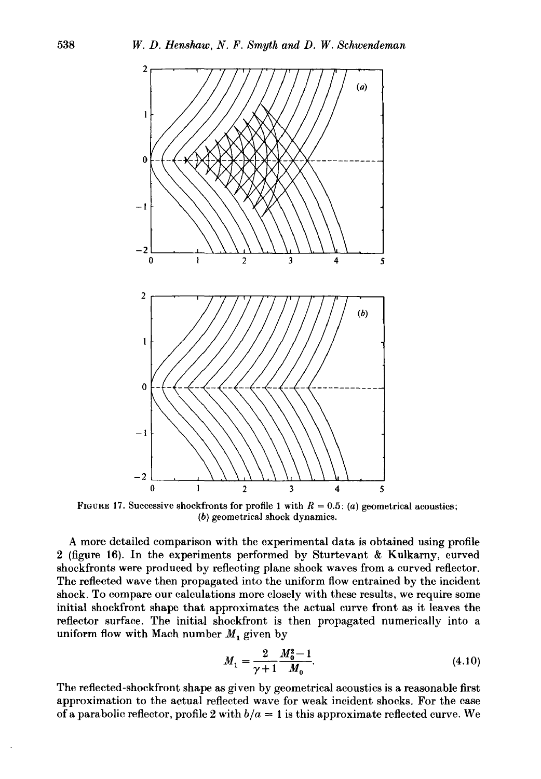

FIGURE 17. Successive shockfronts for profile 1 with  $R = 0.5$ : (a) geometrical acoustics; (b) geometrical shock dynamics.

A more detailed comparison with the experimental data is obtained using profile 2 (figure 16). In the experiments performed by Sturtevant & Kulkarny, curved shockfronts were produced by reflecting plane shock waves from a curved reflector. The reflected wave then propagated into the uniform flow entrained by the incident shock. To compare our calculations more closely with these results, we require some initial shockfront shape that approximates the actual curve front as it leaves the reflector surface. The initial shockfront is then propagated numerically into a uniform flow with Mach number  $M_1$  given by

$$
M_1 = \frac{2}{\gamma + 1} \frac{M_0^2 - 1}{M_0}.
$$
\n(4.10)

The reflected-shockfront shape as given by geometrical acoustics is a reasonable first approximation to the actual reflected wave for weak incident shocks. For the case of a parabolic reflector, profile 2 with  $b/a = 1$  is this approximate reflected curve. We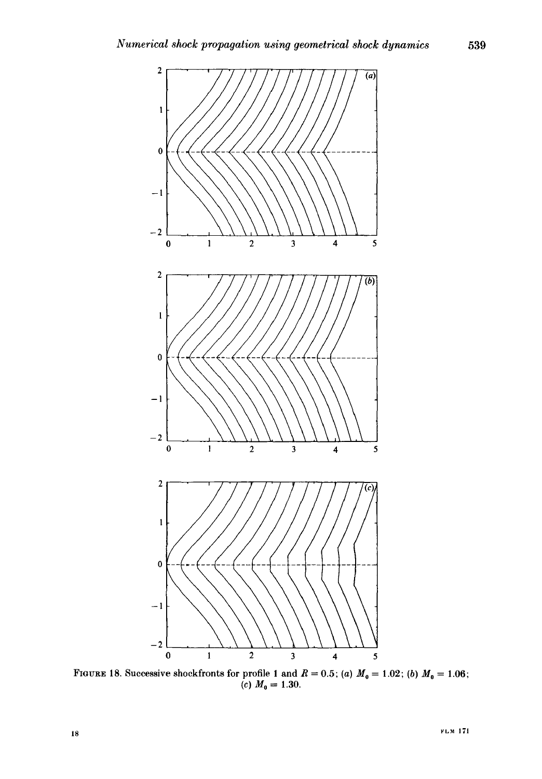

FIGURE 18. Successive shockfronts for profile 1 and  $R = 0.5$ ; (a)  $M_0 = 1.02$ ; (b)  $M_0 = 1.06$ ; (c)  $M_0 = 1.30$ .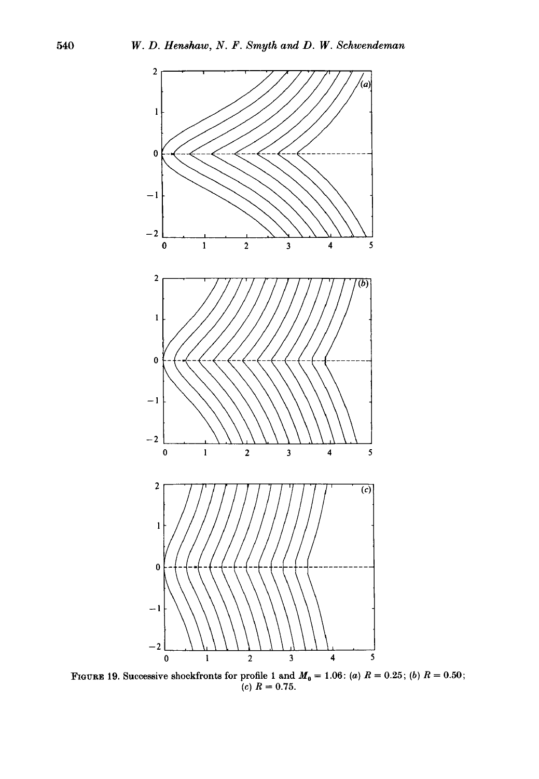

FIGURE 19. Successive shockfronts for profile 1 and  $M_0 = 1.06$ : (a)  $R = 0.25$ ; (b)  $R = 0.50$ ;  $(c)$   $R = 0.75$ .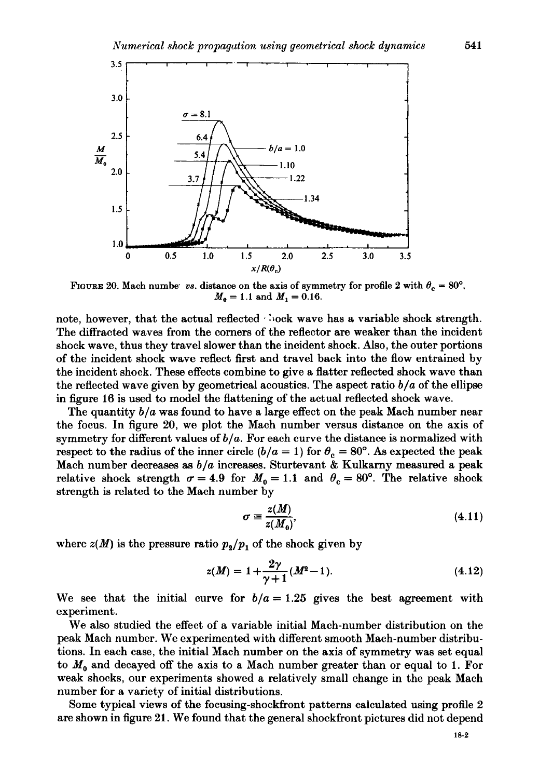

FIGURE 20. Mach numbe<sup>·</sup> *vs.* distance on the axis of symmetry for profile 2 with  $\theta_c = 80^\circ$ ,  $M_0 = 1.1$  and  $M_1 = 0.16$ .

note, however, that the actual reflected  $\cdot$  bock wave has a variable shock strength. The diffracted waves from the corners of the reflector are weaker than the incident shock wave, thus they travel slower than the incident shock. Also, the outer portions of the incident shock wave reflect first and travel back into the flow entrained by the incident shock. These effects combine to give a flatter reflected shock wave than the reflected wave given by geometrical acoustics. The aspect ratio  $b/a$  of the ellipse in figure 16 is used to model the flattening of the actual reflected shock wave.

The quantity *b/a* was found to have a large effect on the peak Mach number near the focus. In figure 20, we plot the Mach number versus distance on the axis of symmetry for different values of *b /a.* For each curve the distance is normalized with respect to the radius of the inner circle  $(b/a = 1)$  for  $\theta_c = 80^\circ$ . As expected the peak Mach number decreases as *bja* increases. Sturtevant & Kulkarny measured a peak relative shock strength  $\sigma = 4.9$  for  $M_0 = 1.1$  and  $\theta_c = 80^\circ$ . The relative shock strength is related to the Mach number by

$$
\sigma \equiv \frac{z(M)}{z(M_0)},\tag{4.11}
$$

where  $z(M)$  is the pressure ratio  $p_2/p_1$  of the shock given by

$$
z(M) = 1 + \frac{2\gamma}{\gamma + 1}(M^2 - 1). \tag{4.12}
$$

We see that the initial curve for  $b/a = 1.25$  gives the best agreement with experiment.

We also studied the effect of a variable initial Mach-number distribution on the peak Mach number. We experimented with different smooth Mach-number distributions. In each case, the initial Mach number on the axis of symmetry was set equal to  $M<sub>0</sub>$  and decayed off the axis to a Mach number greater than or equal to 1. For weak shocks, our experiments showed a relatively small change in the peak Mach number for a variety of initial distributions.

Some typical views of the focusing-shockfront patterns calculated using profile 2 are shown in figure 21. We found that the general shockfront pictures did not depend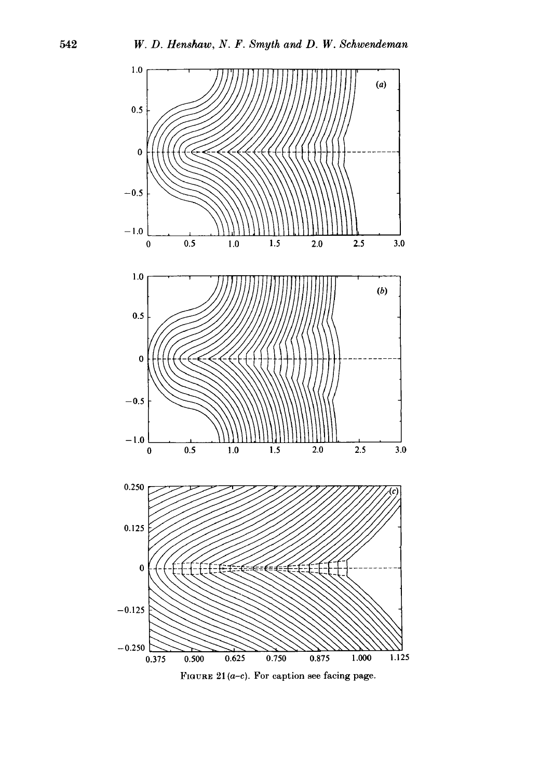

FIGURE  $21(a-c)$ . For caption see facing page.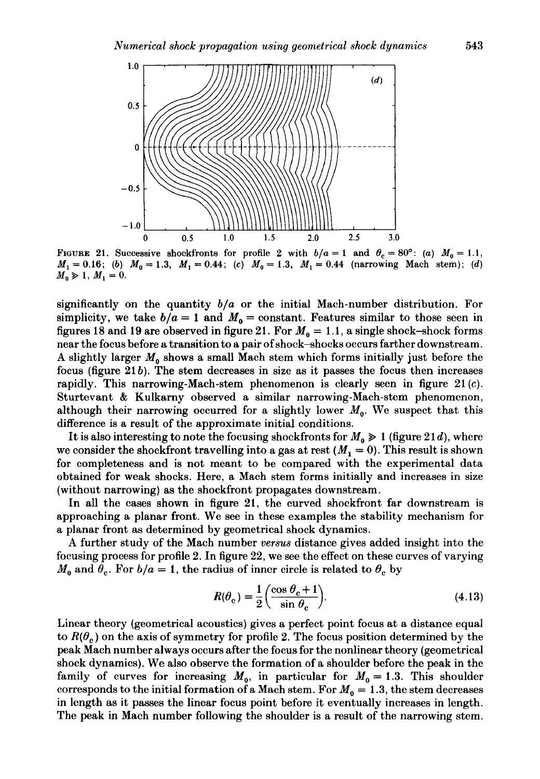

FIGURE 21. Successive shockfronts for profile 2 with  $b/a = 1$  and  $\theta_c = 80^\circ$ : (a)  $M_0 = 1.1$ ,  $M_1 = 0.16$ ; (b)  $M_0 = 1.3$ ,  $M_1 = 0.44$ ; (c)  $M_0 = 1.3$ ,  $M_1 = 0.44$  (narrowing Mach stem); (d)  $M_0 \ge 1, M_1 = 0.$ 

significantly on the quantity *bfa* or the initial Mach-number distribution. For simplicity, we take  $b/a = 1$  and  $M_0 =$ constant. Features similar to those seen in figures 18 and 19 are observed in figure 21. For  $M_0 = 1.1$ , a single shock-shock forms near the focus before a transition to a pair of shock-shocks occurs farther downstream. A slightly larger  $M_0$  shows a small Mach stem which forms initially just before the focus (figure  $21 b$ ). The stem decreases in size as it passes the focus then increases rapidly. This narrowing-Mach-stem phenomenon is clearly seen in figure  $21(c)$ . Sturtevant & Kulkarny observed a similar narrowing-Mach-stem phenomenon, although their narrowing occurred for a slightly lower  $M_0$ . We suspect that this difference is a result of the approximate initial conditions.

It is also interesting to note the focusing shockfronts for  $M_0 \geq 1$  (figure 21d), where we consider the shockfront travelling into a gas at rest  $(M_1 = 0)$ . This result is shown for completeness and is not meant to be compared with the experimental data obtained for weak shocks. Here, a Mach stem forms initially and increases in size (without narrowing) as the shockfront propagates downstream.

In all the cases shown in figure 21, the curved shockfront far downstream is approaching a planar front. We see in these examples the stability mechanism for a planar front as determined by geometrical shock dynamics.

A further study of the Mach number *versus* distance gives added insight into the focusing process for profile 2. In figure 22, we see the effect on these curves of varying  $M_0$  and  $\theta_c$ . For  $b/a = 1$ , the radius of inner circle is related to  $\theta_c$  by

$$
R(\theta_{\rm c}) = \frac{1}{2} \left( \frac{\cos \theta_{\rm c} + 1}{\sin \theta_{\rm c}} \right).
$$
 (4.13)

Linear theory (geometrical acoustics) gives a perfect point focus at a distance equal to  $R(\theta_c)$  on the axis of symmetry for profile 2. The focus position determined by the peak Mach number always occurs after the focus for the nonlinear theory (geometrical shock dynamics). We also observe the formation of a shoulder before the peak in the family of curves for increasing  $M_0$ , in particular for  $M_0 = 1.3$ . This shoulder corresponds to the initial formation of a Mach stem. For  $M_0 = 1.3$ , the stem decreases in length as it passes the linear focus point before it eventually increases in length. The peak in Mach number following the shoulder is a result of the narrowing stem.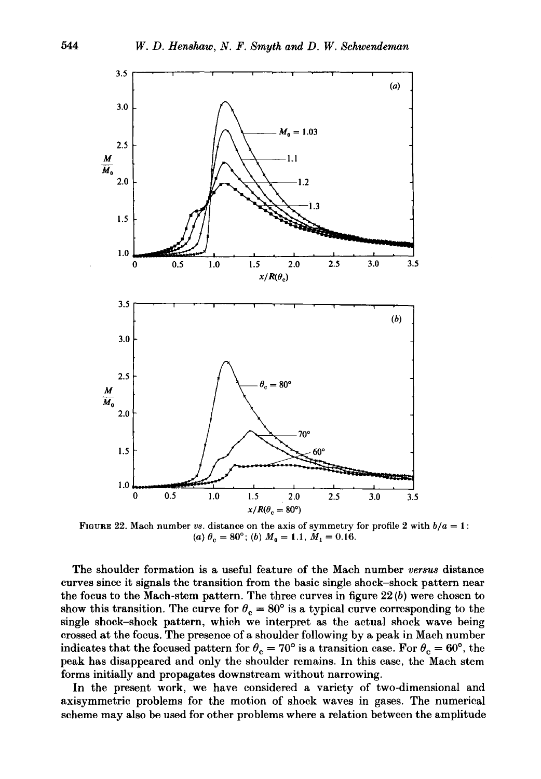

FIGURE 22. Mach number *vs.* distance on the axis of symmetry for profile 2 with  $b/a = 1$ : (a)  $\theta_c = 80^\circ$ ; (b)  $M_0 = 1.1$ ,  $M_1 = 0.16$ .

The shoulder formation is a useful feature of the Mach number *versus* distance curves since it signals the transition from the basic single shock-shock pattern near the focus to the Mach-stem pattern. The three curves in figure  $22(b)$  were chosen to show this transition. The curve for  $\theta_c = 80^\circ$  is a typical curve corresponding to the single shock-shock pattern, which we interpret as the actual shock wave being crossed at the focus. The presence of a shoulder following by a peak in Mach number indicates that the focused pattern for  $\theta_c = 70^\circ$  is a transition case. For  $\theta_c = 60^\circ$ , the peak has disappeared and only the shoulder remains. In this case, the Mach stem forms initially and propagates downstream without narrowing.

In the present work, we have considered a variety of two-dimensional and axisymmetric problems for the motion of shock waves in gases. The numerical scheme may also be used for other problems where a relation between the amplitude